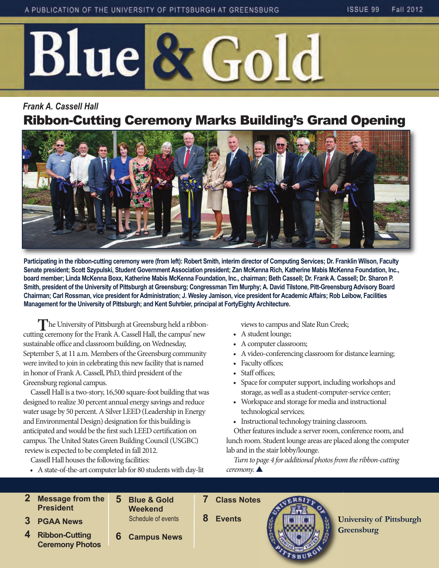

# *Frank A. Cassell Hall*  Ribbon-Cutting Ceremony Marks Building's Grand Opening



**Participating in the ribbon-cutting ceremony were (from left): Robert Smith, interim director of Computing Services; Dr. Franklin Wilson, Faculty Senate president; Scott Szypulski, Student Government Association president; Zan McKenna Rich, Katherine Mabis McKenna Foundation, Inc., board member; Linda McKenna Boxx, Katherine Mabis McKenna Foundation, Inc., chairman; Beth Cassell; Dr. Frank A. Cassell; Dr. Sharon P. Smith, president of the University of Pittsburgh at Greensburg; Congressman Tim Murphy; A. David Tilstone, Pitt-Greensburg Advisory Board Chairman; Carl Rossman, vice president for Administration; J. Wesley Jamison, vice president for Academic Affairs; Rob Leibow, Facilities Management for the University of Pittsburgh; and Kent Suhrbier, principal at FortyEighty Architecture.**

**T**  $\blacksquare$  The University of Pittsburgh at Greensburg held a ribboncutting ceremony for the Frank A. Cassell Hall, the campus' new sustainable office and classroom building, on Wednesday, September 5, at 11 a.m. Members of the Greensburg community were invited to join in celebrating this new facility that is named in honor of Frank A. Cassell, PhD, third president of the Greensburg regional campus.

Cassell Hall is a two-story, 16,500 square-foot building that was designed to realize 30 percent annual energy savings and reduce water usage by 50 percent. A Silver LEED (Leadership in Energy and Environmental Design) designation for this building is anticipated and would be the first such LEED certification on campus. The United States Green Building Council (USGBC) review is expected to be completed in fall 2012.

Cassell Hall houses the following facilities:

• A state-of-the-art computer lab for 80 students with day-lit

views to campus and Slate Run Creek;

- A student lounge;
- A computer classroom;
- A video-conferencing classroom for distance learning;
- Faculty offices;
- Staff offices:
- Space for computer support, including workshops and storage, as well as a student-computer-service center;
- Workspace and storage for media and instructional technological services;
- Instructional technology training classroom.

Other features include a server room, conference room, and lunch room. Student lounge areas are placed along the computer lab and in the stair lobby/lounge.

*Turn to page 4 for additional photos from the ribbon-cutting*  ceremony.

- **2 Message from the President 3 PGAA News 5 Blue & Gold Weekend**
	- **4 Ribbon-Cutting Ceremony Photos**
- Schedule of events

**6 Campus News**

**8 Events** 

**7 Class Notes** 



**University of Pittsburgh Greensburg**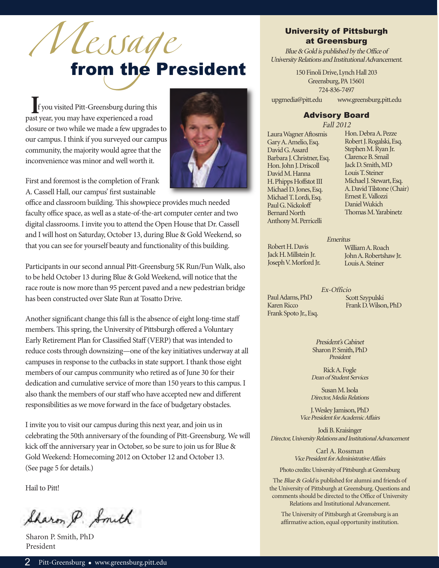# Message<br>from the President

**I**f you visited Pitt-Greensburg during this past year, you may have experienced a road closure or two while we made a few upgrades to our campus. I think if you surveyed our campus community, the majority would agree that the inconvenience was minor and well worth it.



First and foremost is the completion of Frank A. Cassell Hall, our campus' first sustainable

office and classroom building. This showpiece provides much needed faculty office space, as well as a state-of-the-art computer center and two digital classrooms. I invite you to attend the Open House that Dr. Cassell and I will host on Saturday, October 13, during Blue & Gold Weekend, so that you can see for yourself beauty and functionality of this building.

Participants in our second annual Pitt-Greensburg 5K Run/Fun Walk, also to be held October 13 during Blue & Gold Weekend, will notice that the race route is now more than 95 percent paved and a new pedestrian bridge has been constructed over Slate Run at Tosatto Drive.

Another significant change this fall is the absence of eight long-time staff members. This spring, the University of Pittsburgh offered a Voluntary Early Retirement Plan for Classified Staff (VERP) that was intended to reduce costs through downsizing—one of the key initiatives underway at all campuses in response to the cutbacks in state support. I thank those eight members of our campus community who retired as of June 30 for their dedication and cumulative service of more than 150 years to this campus. I also thank the members of our staff who have accepted new and different responsibilities as we move forward in the face of budgetary obstacles.

I invite you to visit our campus during this next year, and join us in celebrating the 50th anniversary of the founding of Pitt-Greensburg. We will kick off the anniversary year in October, so be sure to join us for Blue & Gold Weekend: Homecoming 2012 on October 12 and October 13. (See page 5 for details.)

Hail to Pitt!

Sharon P. Smith

Sharon P. Smith, PhD President

## University of Pittsburgh at Greensburg

Blue & Gold is published by the Office of University Relations and Institutional Advancement.

> 150 Finoli Drive, Lynch Hall 203 Greensburg, PA 15601 724-836-7497

upgmedia@pitt.edu www.greensburg.pitt.edu

### Advisory Board

Fall 2012

Laura Wagner Aftosmis Gary A. Amelio, Esq. David G. Assard Barbara J. Christner, Esq. Hon. John J. Driscoll David M. Hanna H. Phipps Hoffstot III Michael D. Jones, Esq. Michael T. Lordi, Esq. Paul G. Nickoloff Bernard North Anthony M. Perricelli

Hon. Debra A. Pezze Robert J. Rogalski, Esq. Stephen M. Ryan Jr. Clarence B. Smail Jack D. Smith, MD Louis T. Steiner Michael J. Stewart, Esq. A. David Tilstone (Chair) Ernest E. Vallozzi Daniel Wukich Thomas M. Yarabinetz

Emeritus

Robert H. Davis Jack H. Millstein Jr. Joseph V. Morford Jr.

Paul Adams, PhD Karen Ricco Frank Spoto Jr., Esq. William A. Roach John A. Robertshaw Jr. Louis A. Steiner

Ex-Officio

Scott Szypulski Frank D. Wilson, PhD

President's Cabinet Sharon P. Smith, PhD President

Rick A. Fogle Dean of Student Services

Susan M. Isola Director, Media Relations

J. Wesley Jamison, PhD Vice President for Academic Affairs

Jodi B. Kraisinger Director, University Relations and Institutional Advancement

> Carl A. Rossman Vice President for Administrative Affairs

Photo credits: University of Pittsburgh at Greensburg

The Blue & Gold is published for alumni and friends of the University of Pittsburgh at Greensburg. Questions and comments should be directed to the Office of University Relations and Institutional Advancement.

The University of Pittsburgh at Greensburg is an affirmative action, equal opportunity institution.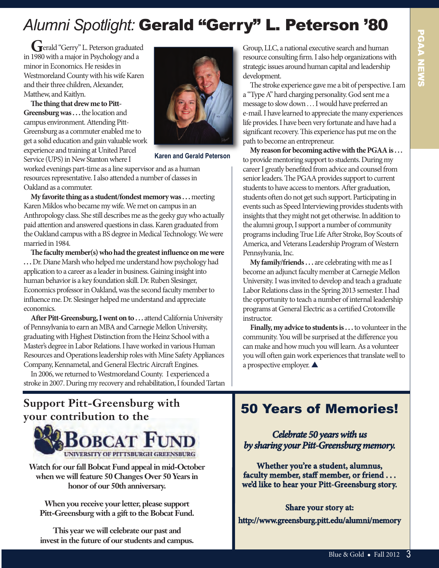# *Alumni Spotlight:* Gerald "Gerry" L. Peterson '80

**Gerry**" L. Peterson graduated in 1980 with a major in Psychology and a minor in Economics. He resides in Westmoreland County with his wife Karen and their three children, Alexander, Matthew, and Kaitlyn.

The thing that drew me to Pitt-**Greensburg was . . .** the location and campus environment. Attending Pitt-Greensburg as a commuter enabled me to get a solid education and gain valuable work experience and training at United Parcel Service (UPS) in New Stanton where I



**Karen and Gerald Peterson**

worked evenings part-time as a line supervisor and as a human resources representative. I also attended a number of classes in Oakland as a commuter.

**My favorite thing as a student/fondest memory was . . .** meeting Karen Miklos who became my wife. We met on campus in an Anthropology class. She still describes me as the geeky guy who actually paid attention and answered questions in class. Karen graduated from the Oakland campus with a BS degree in Medical Technology. We were married in 1984.

**e faculty member(s) who had the greatest influence on me were . . .** Dr. Diane Marsh who helped me understand how psychology had application to a career as a leader in business. Gaining insight into human behavior is a key foundation skill. Dr. Ruben Slesinger, Economics professor in Oakland, was the second faculty member to influence me. Dr. Slesinger helped me understand and appreciate economics.

After Pitt-Greensburg, I went on to . . . attend California University of Pennsylvania to earn an MBA and Carnegie Mellon University, graduating with Highest Distinction from the Heinz School with a Master's degree in Labor Relations. I have worked in various Human Resources and Operations leadership roles with Mine Safety Appliances Company, Kennametal, and General Electric Aircraft Engines.

In 2006, we returned to Westmoreland County. I experienced a stroke in 2007. During my recovery and rehabilitation, I founded Tartan Group, LLC, a national executive search and human resource consulting firm. I also help organizations with strategic issues around human capital and leadership development.

The stroke experience gave me a bit of perspective. I am a "Type A" hard charging personality. God sent me a message to slow down . . . I would have preferred an e-mail. I have learned to appreciate the many experiences life provides. I have been very fortunate and have had a significant recovery. This experience has put me on the path to become an entrepreneur.

**My reason for becoming active with the PGAA is . . .** to provide mentoring support to students. During my career I greatly benefited from advice and counsel from senior leaders. The PGAA provides support to current students to have access to mentors. After graduation, students often do not get such support. Participating in events such as Speed Interviewing provides students with insights that they might not get otherwise. In addition to the alumni group, I support a number of community programs including True Life After Stroke, Boy Scouts of America, and Veterans Leadership Program of Western Pennsylvania, Inc.

**My family/friends . . .** are celebrating with me as I become an adjunct faculty member at Carnegie Mellon University. I was invited to develop and teach a graduate Labor Relations class in the Spring 2013 semester. I had the opportunity to teach a number of internal leadership programs at General Electric as a certified Crotonville instructor.

**Finally, my advice to students is ...** to volunteer in the community. You will be surprised at the difference you can make and how much you will learn. As a volunteer you will often gain work experiences that translate well to a prospective employer.  $\blacktriangle$ 

# **Support Pitt-Greensburg with your contribution to the**



**Watch for our fall Bobcat Fund appeal in mid-October when we will feature 50 Changes Over 50 Years in honor of our 50th anniversary.**

**When you receive your letter, please support Pitt-Greensburg with a gift to the Bobcat Fund.**

**This year we will celebrate our past and invest in the future of our students and campus.** 

# 50 Years of Memories!

## *Celebrate 50 years with us by sharing your Pitt-Greensburg memory.*

**Whether you're a student, alumnus, faculty member, staff member, or friend . . . we'd like to hear your Pitt-Greensburg story.**

**Share your story at:**

**http://www.greensburg.pitt.edu/alumni/memory**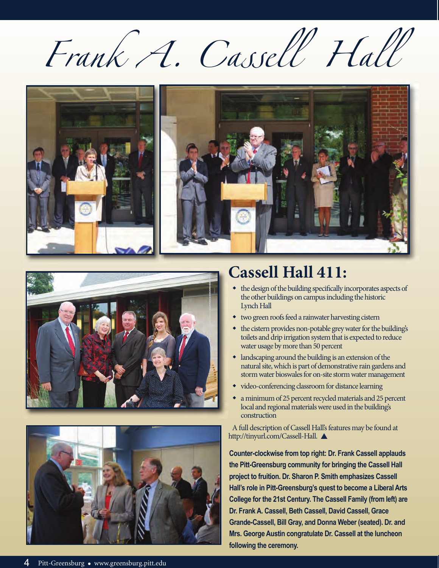Frank A. Cassell Hall







# **Cassell Hall 411:**

- the design of the building specifically incorporates aspects of the other buildings on campus including the historic Lynch Hall
- two green roofs feed a rainwater harvesting cistern
- the cistern provides non-potable grey water for the building's toilets and drip irrigation system that is expected to reduce water usage by more than 50 percent
- $\bullet$  landscaping around the building is an extension of the natural site, which is part of demonstrative rain gardens and storm water bioswales for on-site storm water management
- video-conferencing classroom for distance learning
- a minimum of 25 percent recycled materials and 25 percent local and regional materials were used in the building's construction

A full description of Cassell Hall's features may be found at http://tinyurl.com/Cassell-Hall.

**Counter-clockwise from top right: Dr. Frank Cassell applauds the Pitt-Greensburg community for bringing the Cassell Hall project to fruition. Dr. Sharon P. Smith emphasizes Cassell Hall's role in Pitt-Greensburg's quest to become a Liberal Arts College for the 21st Century. The Cassell Family (from left) are Dr. Frank A. Cassell, Beth Cassell, David Cassell, Grace Grande-Cassell, Bill Gray, and Donna Weber (seated). Dr. and Mrs. George Austin congratulate Dr. Cassell at the luncheon following the ceremony.**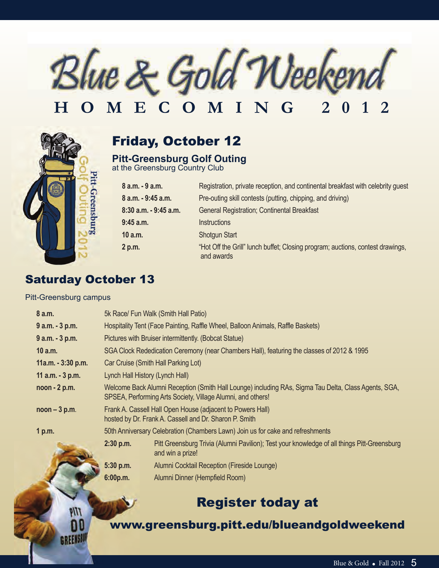

# **HOMECOMING 2012**



# Friday, October 12

## **Pitt-Greensburg Golf Outing**

at the Greensburg Country Club

| 8 a.m. - 9 a.m.       | Registration, private reception, and continental breakfast with celebrity guest              |  |
|-----------------------|----------------------------------------------------------------------------------------------|--|
| 8 a.m. - 9:45 a.m.    | Pre-outing skill contests (putting, chipping, and driving)                                   |  |
| 8:30 a.m. - 9:45 a.m. | <b>General Registration; Continental Breakfast</b>                                           |  |
| $9:45$ a.m.           | <i><u><b>Instructions</b></u></i>                                                            |  |
| 10a.m.                | <b>Shotgun Start</b>                                                                         |  |
| 2 p.m.                | "Hot Off the Grill" lunch buffet; Closing program; auctions, contest drawings,<br>and awards |  |

# **Saturday October 13**

#### Pitt-Greensburg campus

**GREENSS** 

| 8 a.m.             | 5k Race/ Fun Walk (Smith Hall Patio)                                                                 |                                                                                                                 |  |
|--------------------|------------------------------------------------------------------------------------------------------|-----------------------------------------------------------------------------------------------------------------|--|
| $9$ a.m. $-3$ p.m. | Hospitality Tent (Face Painting, Raffle Wheel, Balloon Animals, Raffle Baskets)                      |                                                                                                                 |  |
| 9 a.m. - 3 p.m.    | Pictures with Bruiser intermittently. (Bobcat Statue)                                                |                                                                                                                 |  |
| 10 a.m.            | SGA Clock Rededication Ceremony (near Chambers Hall), featuring the classes of 2012 & 1995           |                                                                                                                 |  |
| 11a.m. - 3:30 p.m. | Car Cruise (Smith Hall Parking Lot)                                                                  |                                                                                                                 |  |
| 11 $a.m. - 3 p.m.$ | Lynch Hall History (Lynch Hall)                                                                      |                                                                                                                 |  |
| $noon - 2 p.m.$    | Welcome Back Alumni Reception (Smith Hall Lounge) including RAs, Sigma Tau Delta, Class Agents, SGA, |                                                                                                                 |  |
|                    |                                                                                                      | SPSEA, Performing Arts Society, Village Alumni, and others!                                                     |  |
| $noon - 3 p.m.$    | Frank A. Cassell Hall Open House (adjacent to Powers Hall)                                           |                                                                                                                 |  |
|                    | hosted by Dr. Frank A. Cassell and Dr. Sharon P. Smith                                               |                                                                                                                 |  |
| 1 p.m.             | 50th Anniversary Celebration (Chambers Lawn) Join us for cake and refreshments                       |                                                                                                                 |  |
|                    | 2:30 p.m.                                                                                            | Pitt Greensburg Trivia (Alumni Pavilion); Test your knowledge of all things Pitt-Greensburg<br>and win a prize! |  |
|                    | 5:30 p.m.                                                                                            | Alumni Cocktail Reception (Fireside Lounge)                                                                     |  |
|                    | 6:00p.m.                                                                                             | Alumni Dinner (Hempfield Room)                                                                                  |  |

# Register today at

## www.greensburg.pitt.edu/blueandgoldweekend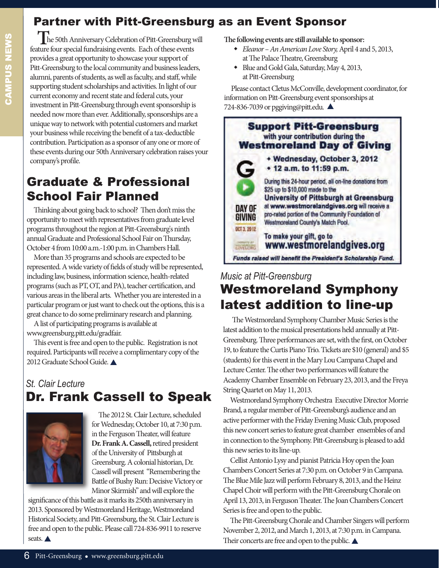# Partner with Pitt-Greensburg as an Event Sponsor

**T**he 50th Anniversary Celebration of Pitt-Greensburg will feature four special fundraising events. Each of these events provides a great opportunity to showcase your support of Pitt-Greensburg to the local community and business leaders, alumni, parents of students, as well as faculty, and staff, while supporting student scholarships and activities. In light of our current economy and recent state and federal cuts, your investment in Pitt-Greensburg through event sponsorship is needed now more than ever. Additionally, sponsorships are a unique way to network with potential customers and market your business while receiving the benefit of a tax-deductible contribution. Participation as a sponsor of any one or more of these events during our 50th Anniversary celebration raises your company's profile.

# Graduate & Professional school Fair Planned

Thinking about going back to school? Then don't miss the opportunity to meet with representatives from graduate level programs throughout the region at Pitt-Greensburg's ninth annual Graduate and Professional School Fair on Thursday, October 4 from 10:00 a.m.-1:00 p.m. in Chambers Hall.

More than 35 programs and schools are expected to be represented. A wide variety of fields of study will be represented, including law, business, information science, health-related programs (such as PT, OT, and PA), teacher certification, and various areas in the liberal arts. Whether you are interested in a particular program or just want to check out the options, this is a great chance to do some preliminary research and planning.

A list of participating programs is available at www.greensburg.pitt.edu/gradfair.

This event is free and open to the public. Registration is not required. Participants will receive a complimentary copy of the 2012 Graduate School Guide.

# *St. Clair Lecture* Dr. Frank Cassell to Speak



The 2012 St. Clair Lecture, scheduled for Wednesday, October 10, at 7:30 p.m. in the Ferguson Theater, will feature **Dr. Frank A. Cassell,** retired president of the University of Pittsburgh at Greensburg. A colonial historian, Dr. Cassell will present "Remembering the Battle of Bushy Run: Decisive Victory or Minor Skirmish" and will explore the

significance of this battle as it marks its 250th anniversary in 2013. Sponsored by Westmoreland Heritage, Westmoreland Historical Society, and Pitt-Greensburg, the St. Clair Lecture is free and open to the public. Please call 724-836-9911 to reserve seats.  $\triangle$ 

**e following events are still available to sponsor:**

- w *Eleanor An American Love Story,*April 4 and 5, 2013, at The Palace Theatre, Greensburg
- w Blue and Gold Gala, Saturday, May 4, 2013, at Pitt-Greensburg

Please contact Cletus McConville, development coordinator, for information on Pitt-Greensburg event sponsorships at 724-836-7039 or pggiving@pitt.edu.  $\triangle$ 



# *Music at Pitt-Greensburg* **Westmoreland Symphony** latest addition to line-up

The Westmoreland Symphony Chamber Music Series is the latest addition to the musical presentations held annually at Pitt-Greensburg. Three performances are set, with the first, on October 19, to feature the Curtis Piano Trio. Tickets are \$10 (general) and \$5 (students) for this event in the Mary Lou Campana Chapel and Lecture Center. The other two performances will feature the Academy Chamber Ensemble on February 23, 2013, and the Freya String Quartet on May 11, 2013.

Westmoreland Symphony Orchestra Executive Director Morrie Brand, a regular member of Pitt-Greensburg's audience and an active performer with the Friday Evening Music Club, proposed this new concert series to feature great chamber ensembles of and in connection to the Symphony. Pitt-Greensburg is pleased to add this new series to its line-up.

Cellist Antonio Lysy and pianist Patricia Hoy open the Joan Chambers Concert Series at 7:30 p.m. on October 9 in Campana. The Blue Mile Jazz will perform February 8, 2013, and the Heinz Chapel Choir will perform with the Pitt-Greensburg Chorale on April 13, 2013, in Ferguson Theater. The Joan Chambers Concert Series is free and open to the public.

The Pitt-Greensburg Chorale and Chamber Singers will perform November 2, 2012, and March 1, 2013, at 7:30 p.m. in Campana. Their concerts are free and open to the public.  $\blacktriangle$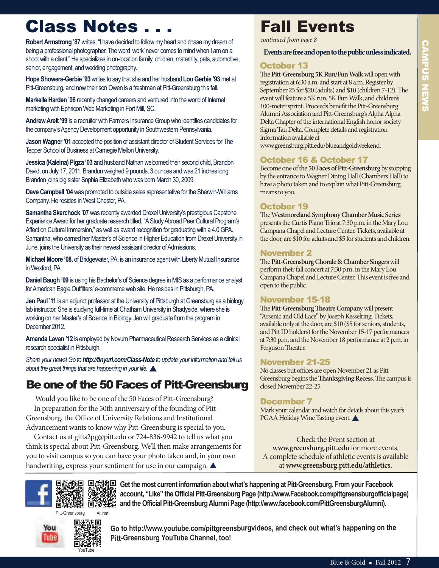# Class Notes . . .

**Robert Armstrong '87** writes, "i have decided to follow my heart and chase my dream of being a professional photographer. The word 'work' never comes to mind when I am on a shoot with a client." He specializes in on-location family, children, maternity, pets, automotive, senior, engagement, and wedding photography.

**Hope Showers-Gerbie '93** writes to say that she and her husband **Lou Gerbie '93**met at Pitt-Greensburg, and now their son Owen is a freshman at Pitt-Greensburg this fall.

**Markelle Harden '98** recently changed careers and ventured into the world of internet marketing with Ephricon Web Marketing in Fort Mill, SC.

**Andrew Arelt '99** is a recruiter with farmers insurance group who identifies candidates for the company's Agency Development opportunity in Southwestern Pennsylvania.

Jason Wagner '01 accepted the position of assistant director of Student Services for The Tepper School of Business at Carnegie Mellon University.

**Jessica (Kaleina) Pigza '03 and husband Nathan welcomed their second child, Brandon** David, on July 17, 2011. Brandon weighed 9 pounds, 3 ounces and was 21 inches long. Brandon joins big sister Sophia Elizabeth who was born March 30, 2009.

**Dave Campbell '04** was promoted to outside sales representative for the Sherwin-Williams Company. He resides in West Chester, Pa.

Samantha Skerchock '07 was recently awarded Drexel University's prestigious Capstone Experience Award for her graduate research titled, "A Study Abroad Peer Cultural Program's Affect on Cultural Immersion," as well as award recognition for graduating with a 4.0 GPA. Samantha, who earned her Master's of Science in Higher Education from Drexel University in June, joins the University as their newest assistant director of Admissions.

Michael Moore '08, of Bridgewater, PA, is an insurance agent with Liberty Mutual Insurance in Wexford, Pa.

**Daniel Baugh '09** is using his Bachelor's of Science degree in MIS as a performance analyst for American Eagle Outfitters' e-commerce web site. He resides in Pittsburgh, PA.

**Jen Paul '11** is an adjunct professor at the University of Pittsburgh at Greensburg as a biology lab instructor. She is studying full-time at Chatham University in Shadyside, where she is working on her master's of Science in biology. Jen will graduate from the program in December 2012.

Amanda Lavan '12 is employed by Novum Pharmaceutical Research Services as a clinical research specialist in Pittsburgh.

*Share your news! Go to http://tinyurl.com/Class-Note to update your information and tell us* about the great things that are happening in your life.

# Be one of the 50 Faces of Pitt-Greensburg

Would you like to be one of the 50 Faces of Pitt-Greensburg? In preparation for the 50th anniversary of the founding of Pitt-Greensburg, the Office of University Relations and Institutional Advancement wants to know why Pitt-Greensburg is special to you.

Contact us at gifts2pg@pitt.edu or 724-836-9942 to tell us what you think is special about Pitt-Greensburg. We'll then make arrangements for you to visit campus so you can have your photo taken and, in your own handwriting, express your sentiment for use in our campaign.  $\blacktriangle$ 

# Fall Events

*continued from page 8*

**Events are free and open to the public unless indicated.**

## October 13

The Pitt-Greensburg 5K Run/Fun Walk will open with registration at 6:30 a.m. and start at 8 a.m. Register by September 25 for \$20 (adults) and \$10 (children 7-12). The event will feature a 5K run, 5K Fun Walk, and children's 100-meter sprint. Proceeds benefit the Pitt-Greensburg Alumni Association and Pitt-Greensburg's Alpha Alpha Delta Chapter of the international English honor society Sigma Tau Delta. Complete details and registration information available at

www.greensburg.pitt.edu/blueandgoldweekend.

## October 16 & October 17

Become one of the **50 Faces of Pitt-Greensburg** by stopping by the entrance to Wagner Dining Hall (Chambers Hall) to have a photo taken and to explain what Pitt-Greensburg means to you.

## October 19

e W**estmoreland Symphony Chamber Music Series** presents the Curtis Piano Trio at 7:30 p.m. in the Mary Lou Campana Chapel and Lecture Center. Tickets, available at the door, are \$10 for adults and \$5 for students and children.

#### November 2

The Pitt-Greensburg Chorale & Chamber Singers will perform their fall concert at 7:30 p.m. in the Mary Lou Campana Chapel and Lecture Center. This event is free and open to the public.

#### November 15-18

The Pitt-Greensburg Theatre Company will present "Arsenic and Old Lace" by Joseph Kesselring. Tickets, available only at the door, are \$10 (\$5 for seniors, students, and Pitt ID holders) for the November 15-17 performances at 7:30 p.m. and the November 18 performance at 2 p.m. in Ferguson Theater.

#### November 21-25

No classes but offices are open November 21 as Pitt-Greensburg begins the **Thanksgiving Recess.** The campus is closed November 22-25.

#### December 7

Mark your calendar and watch for details about this year's PGAA Holiday Wine Tasting event.

Check the Event section at **www.greensburg.pitt.edu** for more events. A complete schedule of athletic events is available at **www.greensburg.pitt.edu/athletics.**



Pitt-Greensburg Alumn



**Go to http://www.youtube.com/pittgreensburgvideos, and check out what's happening on the Pitt-Greensburg YouTube Channel, too!** 

**account, "Like" the Official Pitt-Greensburg Page (http://www.Facebook.com/pittgreensburgofficialpage)**